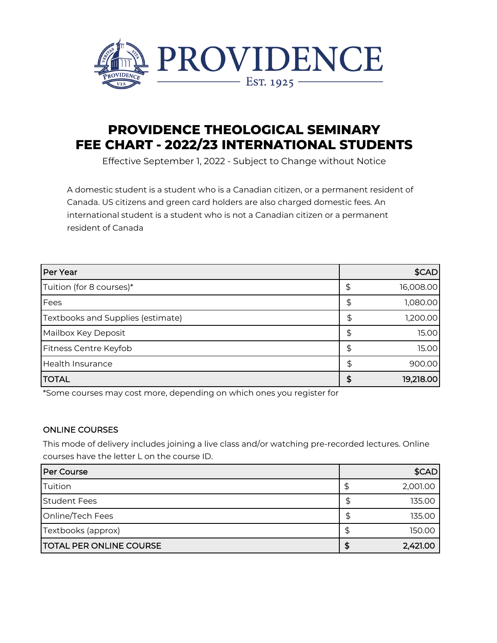

# **PROVIDENCE THEOLOGICAL SEMINARY FEE CHART - 2022/23 INTERNATIONAL STUDENTS**

Effective September 1, 2022 - Subject to Change without Notice

A domestic student is a student who is a Canadian citizen, or a permanent resident of Canada. US citizens and green card holders are also charged domestic fees. An international student is a student who is not a Canadian citizen or a permanent resident of Canada

| Per Year                          |    | \$CAD     |
|-----------------------------------|----|-----------|
| Tuition (for 8 courses)*          | \$ | 16,008.00 |
| Fees                              | \$ | 1,080.00  |
| Textbooks and Supplies (estimate) | \$ | 1,200.00  |
| Mailbox Key Deposit               |    | 15.00     |
| Fitness Centre Keyfob             | \$ | 15.00     |
| Health Insurance                  | £. | 900.00    |
| <b>TOTAL</b>                      | £  | 19,218.00 |

\*Some courses may cost more, depending on which ones you register for

### ONLINE COURSES

This mode of delivery includes joining a live class and/or watching pre-recorded lectures. Online courses have the letter L on the course ID.

| Per Course                     | \$CAD    |
|--------------------------------|----------|
| Tuition                        | 2,001.00 |
| <b>Student Fees</b>            | 135.00   |
| Online/Tech Fees               | 135.00   |
| Textbooks (approx)             | 150.00   |
| <b>TOTAL PER ONLINE COURSE</b> | 2,421.00 |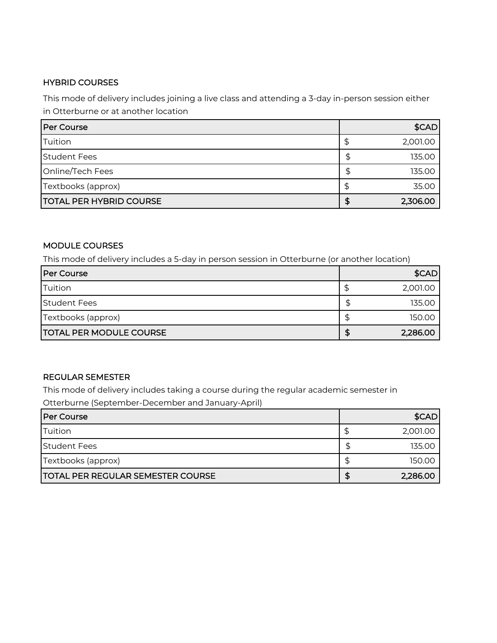### HYBRID COURSES

This mode of delivery includes joining a live class and attending a 3-day in-person session either in Otterburne or at another location

| Per Course                     | \$CAD    |
|--------------------------------|----------|
| Tuition                        | 2,001.00 |
| <b>Student Fees</b>            | 135.00   |
| Online/Tech Fees               | 135.00   |
| Textbooks (approx)             | 35.00    |
| <b>TOTAL PER HYBRID COURSE</b> | 2,306.00 |

# MODULE COURSES

This mode of delivery includes a 5-day in person session in Otterburne (or another location)

| Per Course                     |   | \$CAD    |
|--------------------------------|---|----------|
| Tuition                        |   | 2,001.00 |
| <b>Student Fees</b>            | Œ | 135.00   |
| Textbooks (approx)             |   | 150.00   |
| <b>TOTAL PER MODULE COURSE</b> |   | 2,286.00 |

### REGULAR SEMESTER

This mode of delivery includes taking a course during the regular academic semester in

Otterburne (September-December and January-April)

| <b>Per Course</b>                         | \$CAD    |
|-------------------------------------------|----------|
| <b>Tuition</b>                            | 2,001.00 |
| <b>Student Fees</b>                       | 135.00   |
| Textbooks (approx)                        | 150.00   |
| <b>ITOTAL PER REGULAR SEMESTER COURSE</b> | 2,286.00 |